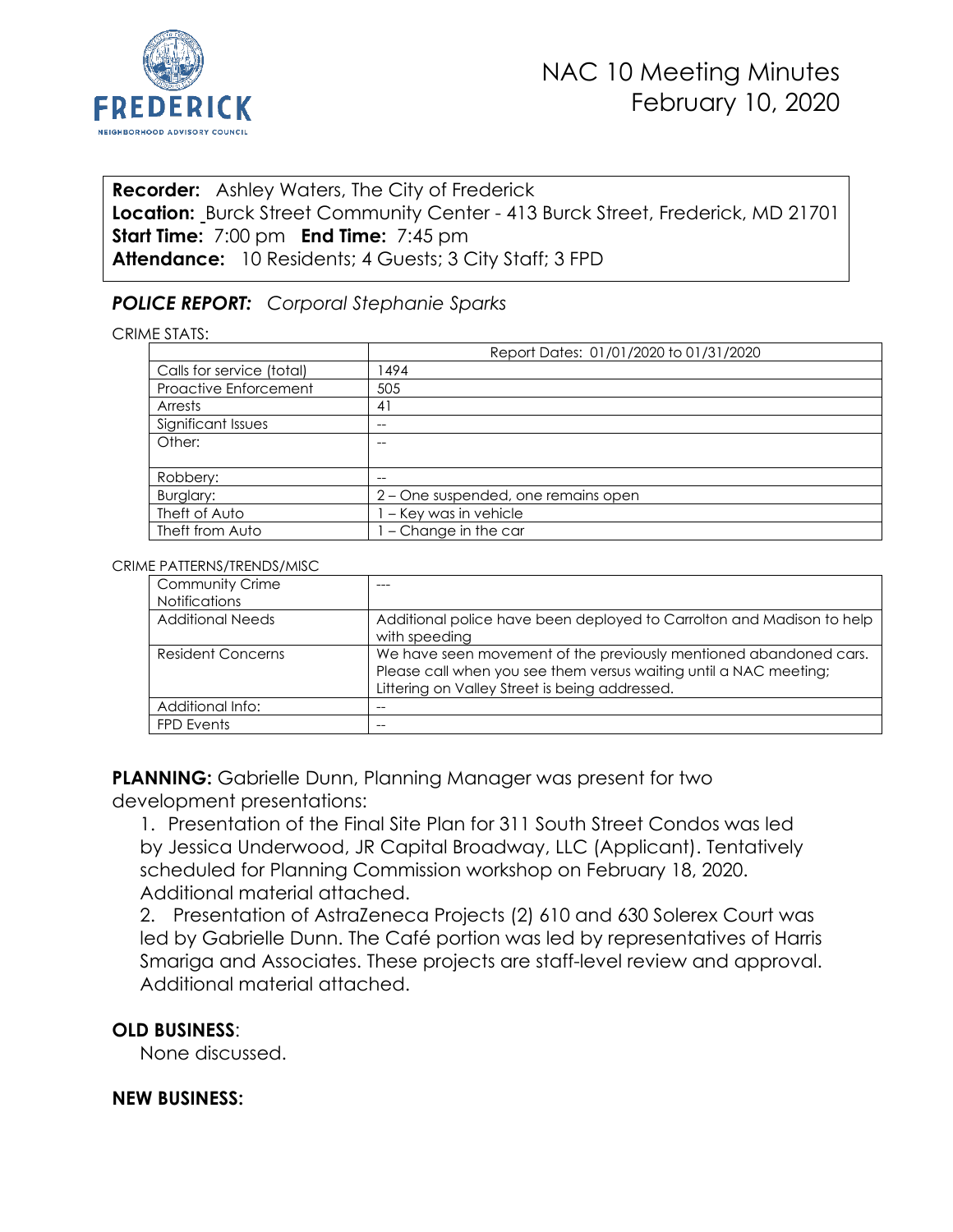

## **Recorder:** Ashley Waters, The City of Frederick **Location:** Burck Street Community Center - 413 Burck Street, Frederick, MD 21701 **Start Time:** 7:00 pm **End Time:** 7:45 pm **Attendance:** 10 Residents; 4 Guests; 3 City Staff; 3 FPD

## *POLICE REPORT: Corporal Stephanie Sparks*

CRIME STATS:

|                           | Report Dates: 01/01/2020 to 01/31/2020 |
|---------------------------|----------------------------------------|
| Calls for service (total) | 1494                                   |
| Proactive Enforcement     | 505                                    |
| Arrests                   | 41                                     |
| Significant Issues        | $-$                                    |
| Other:                    | $-$                                    |
|                           |                                        |
| Robbery:                  |                                        |
| Burglary:                 | 2 - One suspended, one remains open    |
| Theft of Auto             | l - Key was in vehicle                 |
| Theft from Auto           | - Change in the car                    |

#### CRIME PATTERNS/TRENDS/MISC

| <b>Community Crime</b>   | ---                                                                                                                                                                                      |
|--------------------------|------------------------------------------------------------------------------------------------------------------------------------------------------------------------------------------|
| <b>Notifications</b>     |                                                                                                                                                                                          |
| <b>Additional Needs</b>  | Additional police have been deployed to Carrolton and Madison to help<br>with speeding                                                                                                   |
| <b>Resident Concerns</b> | We have seen movement of the previously mentioned abandoned cars.<br>Please call when you see them versus waiting until a NAC meeting;<br>Littering on Valley Street is being addressed. |
| Additional Info:         |                                                                                                                                                                                          |
| FPD Events               |                                                                                                                                                                                          |

**PLANNING:** Gabrielle Dunn, Planning Manager was present for two development presentations:

1. Presentation of the Final Site Plan for 311 South Street Condos was led by Jessica Underwood, JR Capital Broadway, LLC (Applicant). Tentatively scheduled for Planning Commission workshop on February 18, 2020. Additional material attached.

2. Presentation of AstraZeneca Projects (2) 610 and 630 Solerex Court was led by Gabrielle Dunn. The Café portion was led by representatives of Harris Smariga and Associates. These projects are staff-level review and approval. Additional material attached.

### **OLD BUSINESS**:

None discussed.

#### **NEW BUSINESS:**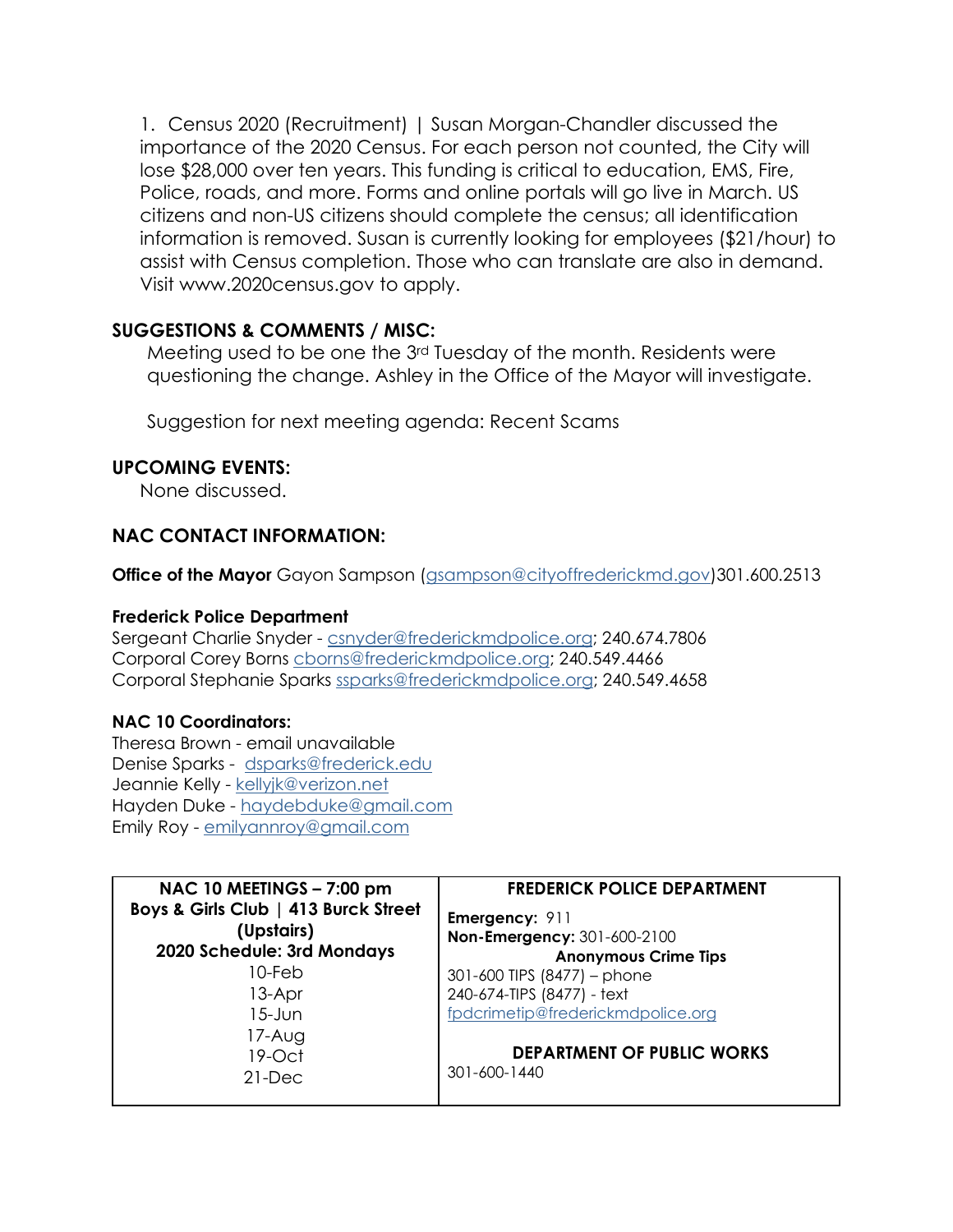1. Census 2020 (Recruitment) | Susan Morgan-Chandler discussed the importance of the 2020 Census. For each person not counted, the City will lose \$28,000 over ten years. This funding is critical to education, EMS, Fire, Police, roads, and more. Forms and online portals will go live in March. US citizens and non-US citizens should complete the census; all identification information is removed. Susan is currently looking for employees (\$21/hour) to assist with Census completion. Those who can translate are also in demand. Visit www.2020census.gov to apply.

## **SUGGESTIONS & COMMENTS / MISC:**

Meeting used to be one the 3rd Tuesday of the month. Residents were questioning the change. Ashley in the Office of the Mayor will investigate.

Suggestion for next meeting agenda: Recent Scams

## **UPCOMING EVENTS:**

None discussed.

## **NAC CONTACT INFORMATION:**

**Office of the Mayor** Gayon Sampson [\(gsampson@cityoffrederickmd.gov\)](mailto:gsampson@cityoffrederickmd.gov)301.600.2513

### **Frederick Police Department**

Sergeant Charlie Snyder - [csnyder@frederickmdpolice.org;](mailto:csnyder@frederickmdpolice.org) 240.674.7806 Corporal Corey Borns [cborns@frederickmdpolice.org;](mailto:cborns@frederickmdpolice.org) 240.549.4466 Corporal Stephanie Sparks [ssparks@frederickmdpolice.org;](mailto:ssparks@frederickmdpolice.org) 240.549.4658

## **NAC 10 Coordinators:**

Theresa Brown - email unavailable Denise Sparks - [dsparks@frederick.edu](mailto:dsparks@frederick.edu) Jeannie Kelly - [kellyjk@verizon.net](mailto:kellyjk@verizon.net) Hayden Duke - [haydebduke@gmail.com](mailto:haydebduke@gmail.com) Emily Roy - [emilyannroy@gmail.com](mailto:emilyannroy@gmail.com)

| NAC 10 MEETINGS - 7:00 pm                                                        | <b>FREDERICK POLICE DEPARTMENT</b>                                           |
|----------------------------------------------------------------------------------|------------------------------------------------------------------------------|
| Boys & Girls Club   413 Burck Street<br>(Upstairs)<br>2020 Schedule: 3rd Mondays | Emergency: 911<br>Non-Emergency: 301-600-2100<br><b>Anonymous Crime Tips</b> |
| $10$ -Feb                                                                        | 301-600 TIPS (8477) - phone                                                  |
| 13-Apr                                                                           | 240-674-TIPS (8477) - text                                                   |
| $15 - Jun$                                                                       | fpdcrimetip@frederickmdpolice.org                                            |
| $17-Au$ g<br>$19$ -Oct<br>$21$ -Dec                                              | <b>DEPARTMENT OF PUBLIC WORKS</b><br>301-600-1440                            |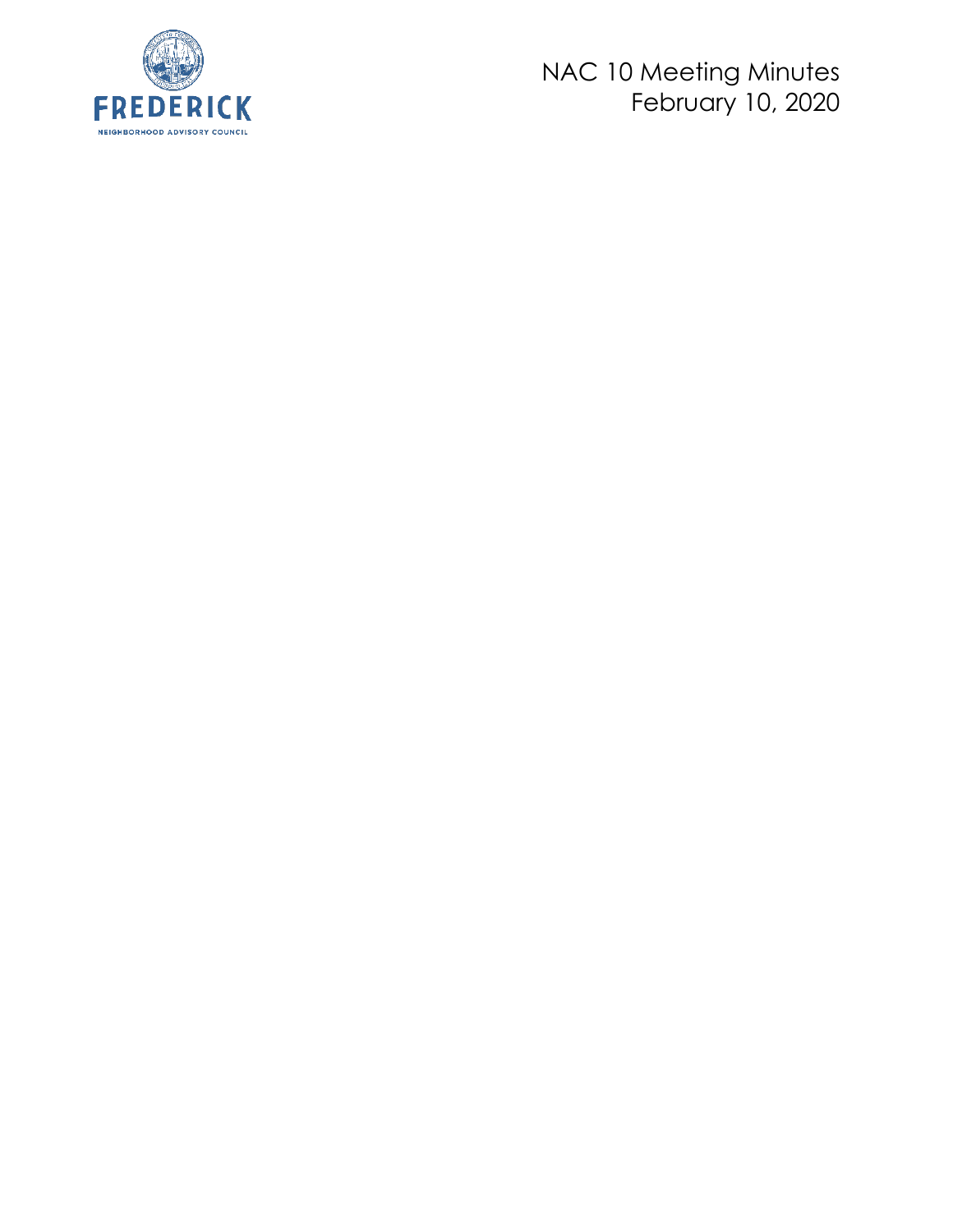

# NAC 10 Meeting Minutes February 10, 2020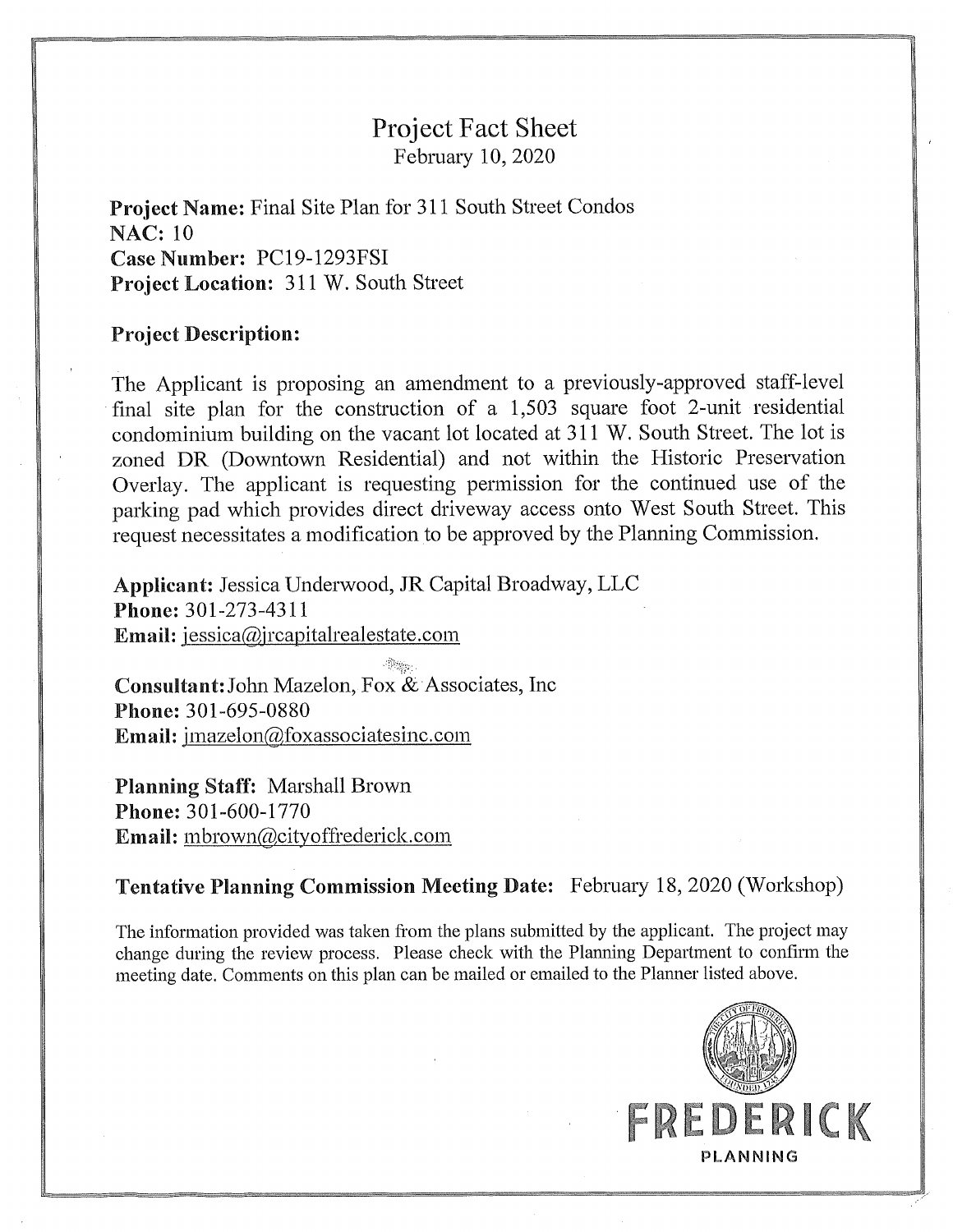## **Project Fact Sheet** February 10, 2020

**Project Name:** Final Site Plan for 311 South Street Condos **NAC: 10** Case Number: PC19-1293FSI **Project Location: 311 W. South Street** 

#### **Project Description:**

The Applicant is proposing an amendment to a previously-approved staff-level final site plan for the construction of a 1,503 square foot 2-unit residential condominium building on the vacant lot located at 311 W. South Street. The lot is zoned DR (Downtown Residential) and not within the Historic Preservation Overlay. The applicant is requesting permission for the continued use of the parking pad which provides direct driveway access onto West South Street. This request necessitates a modification to be approved by the Planning Commission.

Applicant: Jessica Underwood, JR Capital Broadway, LLC Phone: 301-273-4311 **Email:** iessica@ircapitalrealestate.com

Consultant: John Mazelon, Fox & Associates, Inc Phone: 301-695-0880 Email: imazelon@foxassociatesinc.com

**Planning Staff: Marshall Brown** Phone: 301-600-1770 Email: mbrown@cityoffrederick.com

Tentative Planning Commission Meeting Date: February 18, 2020 (Workshop)

The information provided was taken from the plans submitted by the applicant. The project may change during the review process. Please check with the Planning Department to confirm the meeting date. Comments on this plan can be mailed or emailed to the Planner listed above.

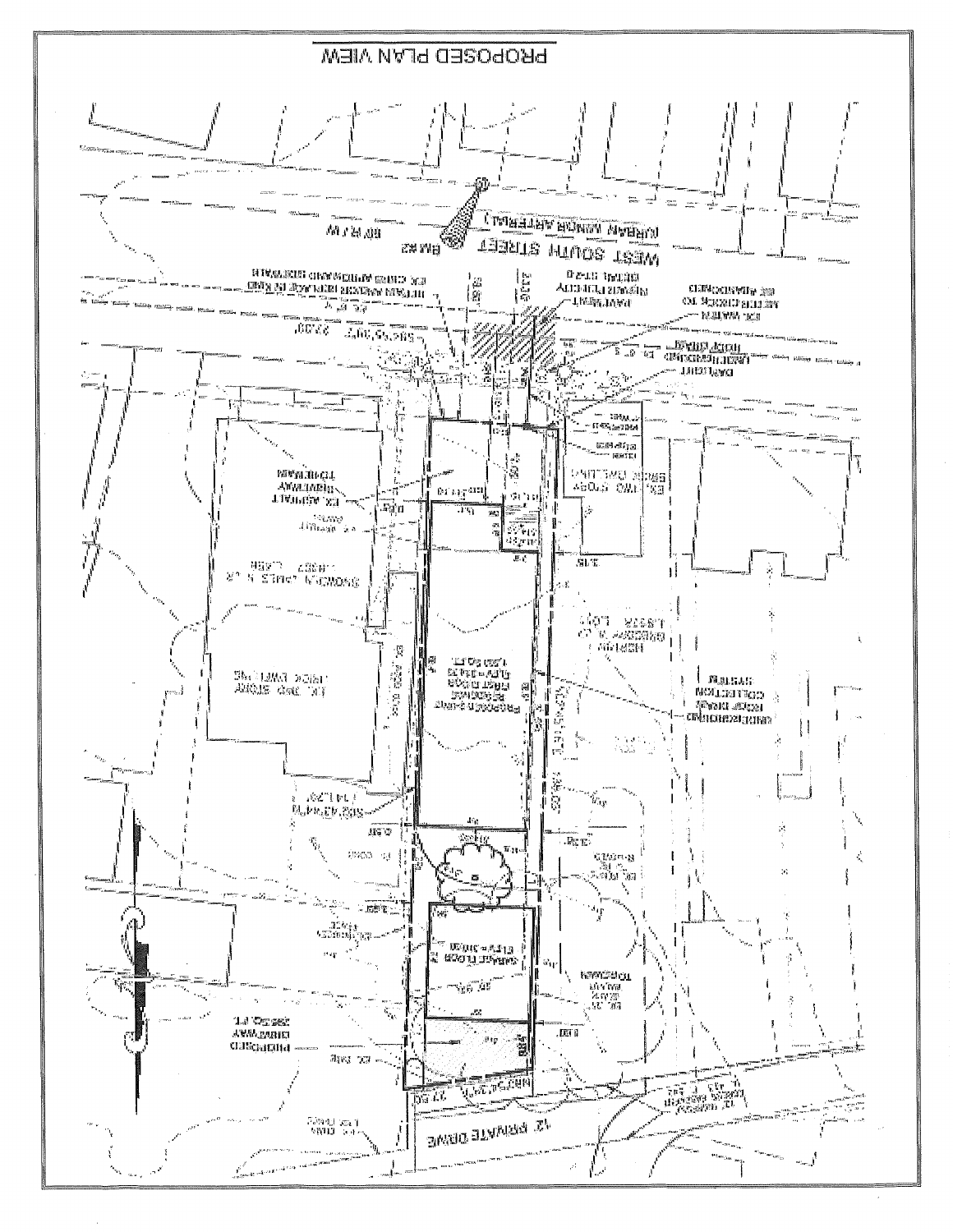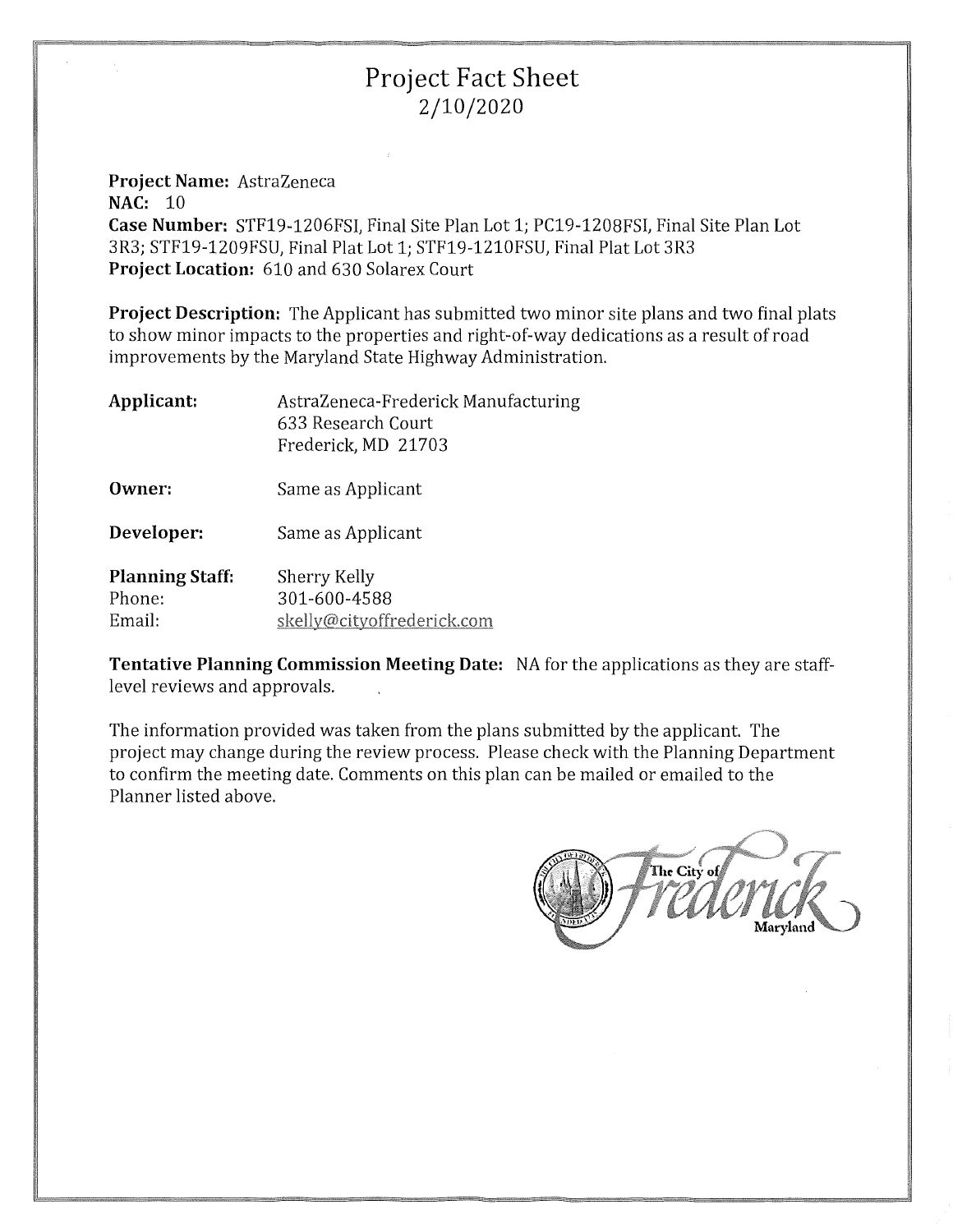## **Project Fact Sheet** 2/10/2020

Project Name: AstraZeneca **NAC: 10** 

Case Number: STF19-1206FSI, Final Site Plan Lot 1; PC19-1208FSI, Final Site Plan Lot 3R3; STF19-1209FSU, Final Plat Lot 1; STF19-1210FSU, Final Plat Lot 3R3 Project Location: 610 and 630 Solarex Court

**Project Description:** The Applicant has submitted two minor site plans and two final plats to show minor impacts to the properties and right-of-way dedications as a result of road improvements by the Maryland State Highway Administration.

| Applicant:             | AstraZeneca-Frederick Manufacturing<br>633 Research Court<br>Frederick, MD 21703 |
|------------------------|----------------------------------------------------------------------------------|
| Owner:                 | Same as Applicant                                                                |
| Developer:             | Same as Applicant                                                                |
| <b>Planning Staff:</b> | Sherry Kelly                                                                     |
| Phone:                 | 301-600-4588                                                                     |
| Email:                 | skelly@cityoffrederick.com                                                       |

Tentative Planning Commission Meeting Date: NA for the applications as they are stafflevel reviews and approvals.

The information provided was taken from the plans submitted by the applicant. The project may change during the review process. Please check with the Planning Department to confirm the meeting date. Comments on this plan can be mailed or emailed to the Planner listed above.

The City of Maryland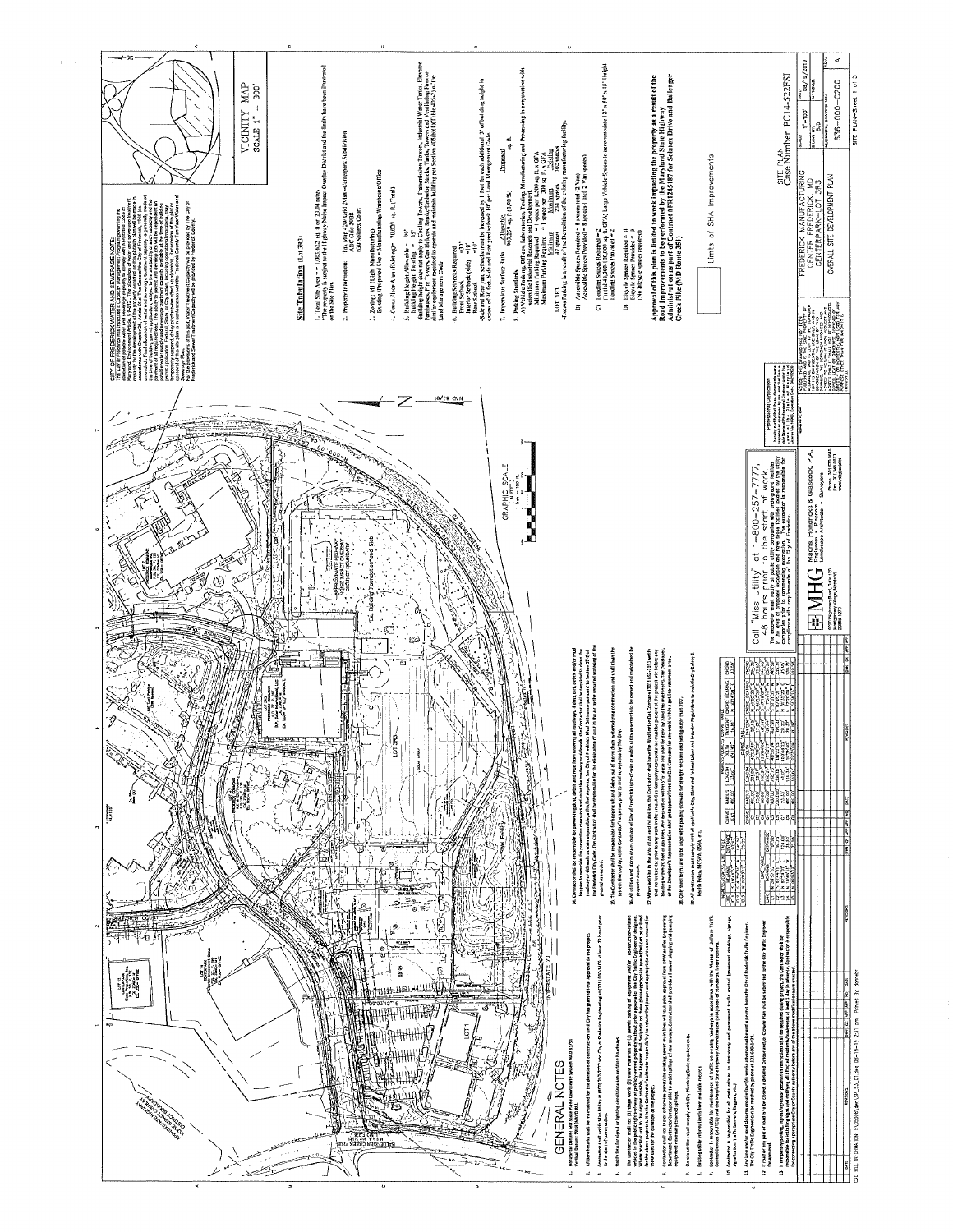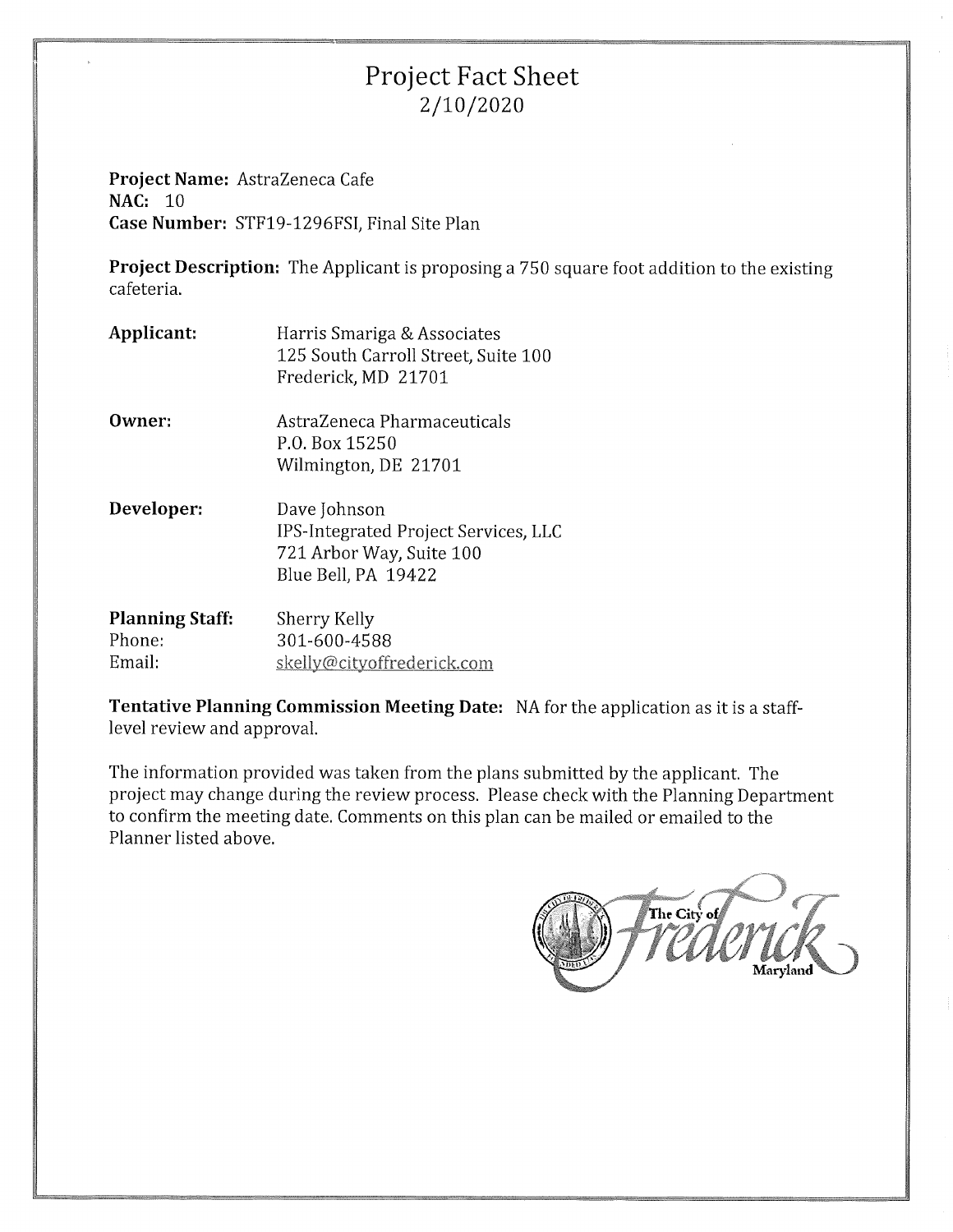## **Project Fact Sheet** 2/10/2020

Project Name: AstraZeneca Cafe **NAC: 10** Case Number: STF19-1296FSI, Final Site Plan

**Project Description:** The Applicant is proposing a 750 square foot addition to the existing cafeteria.

Applicant: Harris Smariga & Associates 125 South Carroll Street, Suite 100 Frederick, MD 21701 Owner: AstraZeneca Pharmaceuticals P.O. Box 15250 Wilmington, DE 21701 Developer: Dave Johnson IPS-Integrated Project Services, LLC 721 Arbor Way, Suite 100 Blue Bell, PA 19422

| <b>Planning Staff:</b> | Sherry Kelly               |
|------------------------|----------------------------|
| Phone:                 | 301-600-4588               |
| Email:                 | skelly@cityoffrederick.com |

Tentative Planning Commission Meeting Date: NA for the application as it is a stafflevel review and approval.

The information provided was taken from the plans submitted by the applicant. The project may change during the review process. Please check with the Planning Department to confirm the meeting date. Comments on this plan can be mailed or emailed to the Planner listed above.

The City of